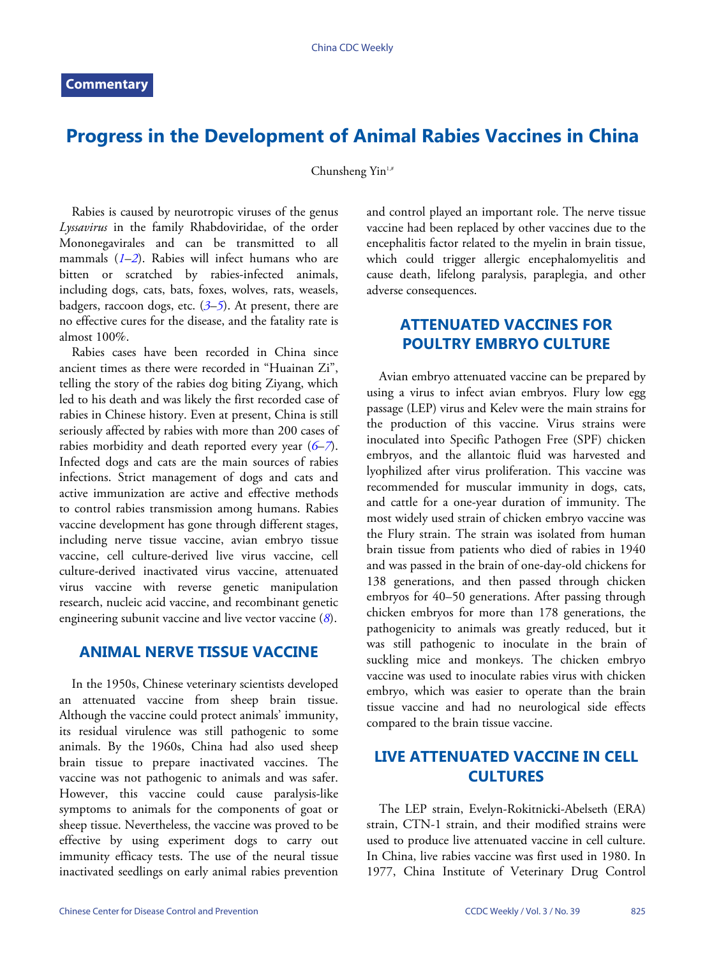# **Progress in the Development of Animal Rabies Vaccines in China**

Chunsheng Yin<sup>1,#</sup>

Rabies is caused by neurotropic viruses of the genus *Lyssavirus* in the family Rhabdoviridae, of the order Mononegavirales and can be transmitted to all mammals ([1](#page-5-0)–[2](#page-5-1)). Rabies will infect humans who are bitten or scratched by rabies-infected animals, including dogs, cats, bats, foxes, wolves, rats, weasels, badgers, raccoon dogs, etc. (*[3](#page-5-2)*–*[5](#page-5-3)*). At present, there are no effective cures for the disease, and the fatality rate is almost 100%.

Rabies cases have been recorded in China since ancient times as there were recorded in "Huainan Zi", telling the story of the rabies dog biting Ziyang, which led to his death and was likely the first recorded case of rabies in Chinese history. Even at present, China is still seriously affected by rabies with more than 200 cases of rabies morbidity and death reported every year (*[6](#page-5-4)*–*[7](#page-5-5)*). Infected dogs and cats are the main sources of rabies infections. Strict management of dogs and cats and active immunization are active and effective methods to control rabies transmission among humans. Rabies vaccine development has gone through different stages, including nerve tissue vaccine, avian embryo tissue vaccine, cell culture-derived live virus vaccine, cell culture-derived inactivated virus vaccine, attenuated virus vaccine with reverse genetic manipulation research, nucleic acid vaccine, and recombinant genetic engineering subunit vaccine and live vector vaccine (*[8](#page-5-6)*).

#### **ANIMAL NERVE TISSUE VACCINE**

In the 1950s, Chinese veterinary scientists developed an attenuated vaccine from sheep brain tissue. Although the vaccine could protect animals' immunity, its residual virulence was still pathogenic to some animals. By the 1960s, China had also used sheep brain tissue to prepare inactivated vaccines. The vaccine was not pathogenic to animals and was safer. However, this vaccine could cause paralysis-like symptoms to animals for the components of goat or sheep tissue. Nevertheless, the vaccine was proved to be effective by using experiment dogs to carry out immunity efficacy tests. The use of the neural tissue inactivated seedlings on early animal rabies prevention

and control played an important role. The nerve tissue vaccine had been replaced by other vaccines due to the encephalitis factor related to the myelin in brain tissue, which could trigger allergic encephalomyelitis and cause death, lifelong paralysis, paraplegia, and other adverse consequences.

### **ATTENUATED VACCINES FOR POULTRY EMBRYO CULTURE**

Avian embryo attenuated vaccine can be prepared by using a virus to infect avian embryos. Flury low egg passage (LEP) virus and Kelev were the main strains for the production of this vaccine. Virus strains were inoculated into Specific Pathogen Free (SPF) chicken embryos, and the allantoic fluid was harvested and lyophilized after virus proliferation. This vaccine was recommended for muscular immunity in dogs, cats, and cattle for a one-year duration of immunity. The most widely used strain of chicken embryo vaccine was the Flury strain. The strain was isolated from human brain tissue from patients who died of rabies in 1940 and was passed in the brain of one-day-old chickens for 138 generations, and then passed through chicken embryos for 40–50 generations. After passing through chicken embryos for more than 178 generations, the pathogenicity to animals was greatly reduced, but it was still pathogenic to inoculate in the brain of suckling mice and monkeys. The chicken embryo vaccine was used to inoculate rabies virus with chicken embryo, which was easier to operate than the brain tissue vaccine and had no neurological side effects compared to the brain tissue vaccine.

#### **LIVE ATTENUATED VACCINE IN CELL CULTURES**

The LEP strain, Evelyn-Rokitnicki-Abelseth (ERA) strain, CTN-1 strain, and their modified strains were used to produce live attenuated vaccine in cell culture. In China, live rabies vaccine was first used in 1980. In 1977, China Institute of Veterinary Drug Control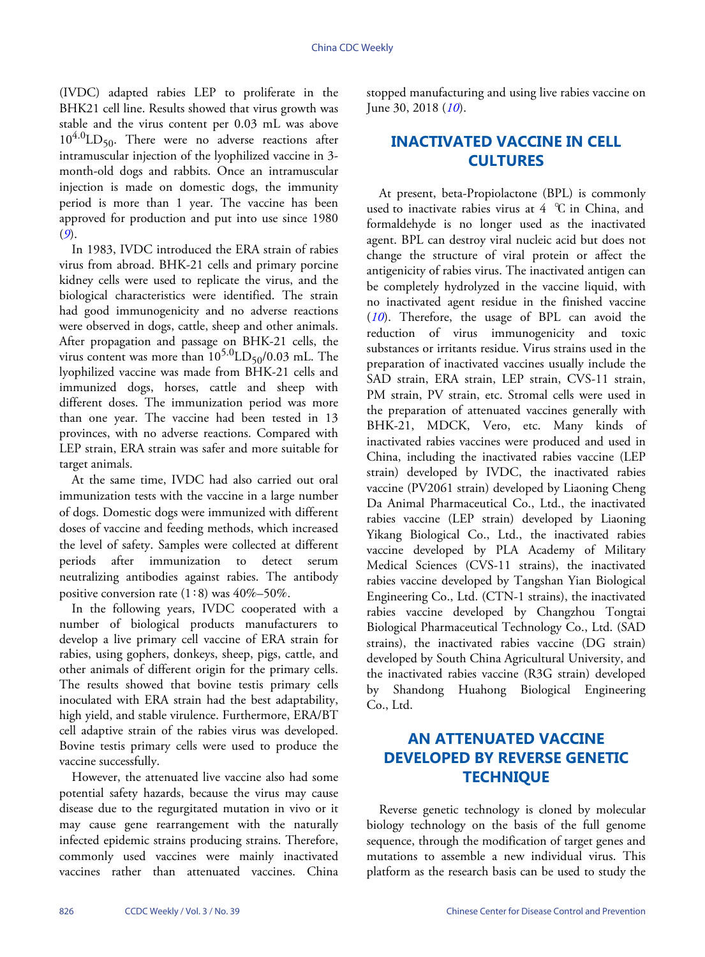(IVDC) adapted rabies LEP to proliferate in the BHK21 cell line. Results showed that virus growth was stable and the virus content per 0.03 mL was above  $10^{4.0}$ LD<sub>50</sub>. There were no adverse reactions after intramuscular injection of the lyophilized vaccine in 3 month-old dogs and rabbits. Once an intramuscular injection is made on domestic dogs, the immunity period is more than 1 year. The vaccine has been approved for production and put into use since 1980 (*[9](#page-5-7)*).

In 1983, IVDC introduced the ERA strain of rabies virus from abroad. BHK-21 cells and primary porcine kidney cells were used to replicate the virus, and the biological characteristics were identified. The strain had good immunogenicity and no adverse reactions were observed in dogs, cattle, sheep and other animals. After propagation and passage on BHK-21 cells, the virus content was more than  $10^{5.0}$ LD<sub>50</sub>/0.03 mL. The lyophilized vaccine was made from BHK-21 cells and immunized dogs, horses, cattle and sheep with different doses. The immunization period was more than one year. The vaccine had been tested in 13 provinces, with no adverse reactions. Compared with LEP strain, ERA strain was safer and more suitable for target animals.

At the same time, IVDC had also carried out oral immunization tests with the vaccine in a large number of dogs. Domestic dogs were immunized with different doses of vaccine and feeding methods, which increased the level of safety. Samples were collected at different periods after immunization to detect serum neutralizing antibodies against rabies. The antibody positive conversion rate  $(1:8)$  was  $40\% - 50\%$ .

In the following years, IVDC cooperated with a number of biological products manufacturers to develop a live primary cell vaccine of ERA strain for rabies, using gophers, donkeys, sheep, pigs, cattle, and other animals of different origin for the primary cells. The results showed that bovine testis primary cells inoculated with ERA strain had the best adaptability, high yield, and stable virulence. Furthermore, ERA/BT cell adaptive strain of the rabies virus was developed. Bovine testis primary cells were used to produce the vaccine successfully.

However, the attenuated live vaccine also had some potential safety hazards, because the virus may cause disease due to the regurgitated mutation in vivo or it may cause gene rearrangement with the naturally infected epidemic strains producing strains. Therefore, commonly used vaccines were mainly inactivated vaccines rather than attenuated vaccines. China

stopped manufacturing and using live rabies vaccine on June 30, 2018 (*[10](#page-5-8)*).

### **INACTIVATED VACCINE IN CELL CULTURES**

At present, beta-Propiolactone (BPL) is commonly used to inactivate rabies virus at  $4^{\circ}$ C in China, and formaldehyde is no longer used as the inactivated agent. BPL can destroy viral nucleic acid but does not change the structure of viral protein or affect the antigenicity of rabies virus. The inactivated antigen can be completely hydrolyzed in the vaccine liquid, with no inactivated agent residue in the finished vaccine (*[10](#page-5-8)*). Therefore, the usage of BPL can avoid the reduction of virus immunogenicity and toxic substances or irritants residue. Virus strains used in the preparation of inactivated vaccines usually include the SAD strain, ERA strain, LEP strain, CVS-11 strain, PM strain, PV strain, etc. Stromal cells were used in the preparation of attenuated vaccines generally with BHK-21, MDCK, Vero, etc. Many kinds of inactivated rabies vaccines were produced and used in China, including the inactivated rabies vaccine (LEP strain) developed by IVDC, the inactivated rabies vaccine (PV2061 strain) developed by Liaoning Cheng Da Animal Pharmaceutical Co., Ltd., the inactivated rabies vaccine (LEP strain) developed by Liaoning Yikang Biological Co., Ltd., the inactivated rabies vaccine developed by PLA Academy of Military Medical Sciences (CVS-11 strains), the inactivated rabies vaccine developed by Tangshan Yian Biological Engineering Co., Ltd. (CTN-1 strains), the inactivated rabies vaccine developed by Changzhou Tongtai Biological Pharmaceutical Technology Co., Ltd. (SAD strains), the inactivated rabies vaccine (DG strain) developed by South China Agricultural University, and the inactivated rabies vaccine (R3G strain) developed by Shandong Huahong Biological Engineering Co., Ltd.

### **AN ATTENUATED VACCINE DEVELOPED BY REVERSE GENETIC TECHNIQUE**

Reverse genetic technology is cloned by molecular biology technology on the basis of the full genome sequence, through the modification of target genes and mutations to assemble a new individual virus. This platform as the research basis can be used to study the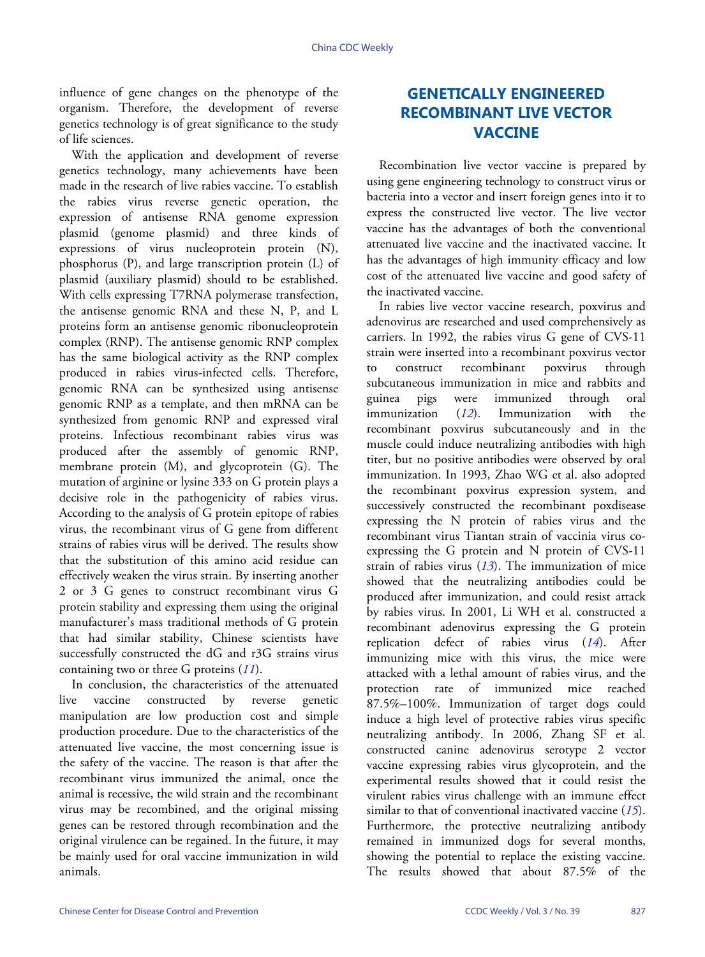influence of gene changes on the phenotype of the organism. Therefore, the development of reverse genetics technology is of great significance to the study of life sciences.

With the application and development of reverse genetics technology, many achievements have been made in the research of live rabies vaccine. To establish the rabies virus reverse genetic operation, the expression of antisense RNA genome expression plasmid (genome plasmid) and three kinds of expressions of virus nucleoprotein protein (N), phosphorus (P), and large transcription protein (L) of plasmid (auxiliary plasmid) should to be established. With cells expressing T7RNA polymerase transfection, the antisense genomic RNA and these N, P, and L proteins form an antisense genomic ribonucleoprotein complex (RNP). The antisense genomic RNP complex has the same biological activity as the RNP complex produced in rabies virus-infected cells. Therefore, genomic RNA can be synthesized using antisense genomic RNP as a template, and then mRNA can be synthesized from genomic RNP and expressed viral proteins. Infectious recombinant rabies virus was produced after the assembly of genomic RNP, membrane protein (M), and glycoprotein (G). The mutation of arginine or lysine 333 on G protein plays a decisive role in the pathogenicity of rabies virus. According to the analysis of G protein epitope of rabies virus, the recombinant virus of G gene from different strains of rabies virus will be derived. The results show that the substitution of this amino acid residue can effectively weaken the virus strain. By inserting another 2 or 3 G genes to construct recombinant virus G protein stability and expressing them using the original manufacturer's mass traditional methods of G protein that had similar stability, Chinese scientists have successfully constructed the dG and r3G strains virus containing two or three G proteins (*[11](#page-5-9)*).

In conclusion, the characteristics of the attenuated live vaccine constructed by reverse genetic manipulation are low production cost and simple production procedure. Due to the characteristics of the attenuated live vaccine, the most concerning issue is the safety of the vaccine. The reason is that after the recombinant virus immunized the animal, once the animal is recessive, the wild strain and the recombinant virus may be recombined, and the original missing genes can be restored through recombination and the original virulence can be regained. In the future, it may be mainly used for oral vaccine immunization in wild animals.

## **GENETICALLY ENGINEERED RECOMBINANT LIVE VECTOR VACCINE**

Recombination live vector vaccine is prepared by using gene engineering technology to construct virus or bacteria into a vector and insert foreign genes into it to express the constructed live vector. The live vector vaccine has the advantages of both the conventional attenuated live vaccine and the inactivated vaccine. It has the advantages of high immunity efficacy and low cost of the attenuated live vaccine and good safety of the inactivated vaccine.

In rabies live vector vaccine research, poxvirus and adenovirus are researched and used comprehensively as carriers. In 1992, the rabies virus G gene of CVS-11 strain were inserted into a recombinant poxvirus vector to construct recombinant poxvirus through subcutaneous immunization in mice and rabbits and guinea pigs [were](#page-5-10) immunized through oral immunization (*[12](#page-5-10)*). Immunization with the recombinant poxvirus subcutaneously and in the muscle could induce neutralizing antibodies with high titer, but no positive antibodies were observed by oral immunization. In 1993, Zhao WG et al. also adopted the recombinant poxvirus expression system, and successively constructed the recombinant poxdisease expressing the N protein of rabies virus and the recombinant virus Tiantan strain of vaccinia virus coexpressing the G pro[tein](#page-5-11) and N protein of CVS-11 strain of rabies virus (*[13](#page-5-11)*). The immunization of mice showed that the neutralizing antibodies could be produced after immunization, and could resist attack by rabies virus. In 2001, Li WH et al. constructed a recombinant adenovirus expressing the [G](#page-5-12) protein replication defect of rabies virus (*[14](#page-5-12)*). After immunizing mice with this virus, the mice were attacked with a lethal amount of rabies virus, and the protection rate of immunized mice reached 87.5%–100%. Immunization of target dogs could induce a high level of protective rabies virus specific neutralizing antibody. In 2006, Zhang SF et al. constructed canine adenovirus serotype 2 vector vaccine expressing rabies virus glycoprotein, and the experimental results showed that it could resist the virulent rabies virus challenge with an immune e[ffec](#page-5-13)t similar to that of conventional inactivated vaccine (*[15](#page-5-13)*). Furthermore, the protective neutralizing antibody remained in immunized dogs for several months, showing the potential to replace the existing vaccine. The results showed that about 87.5% of the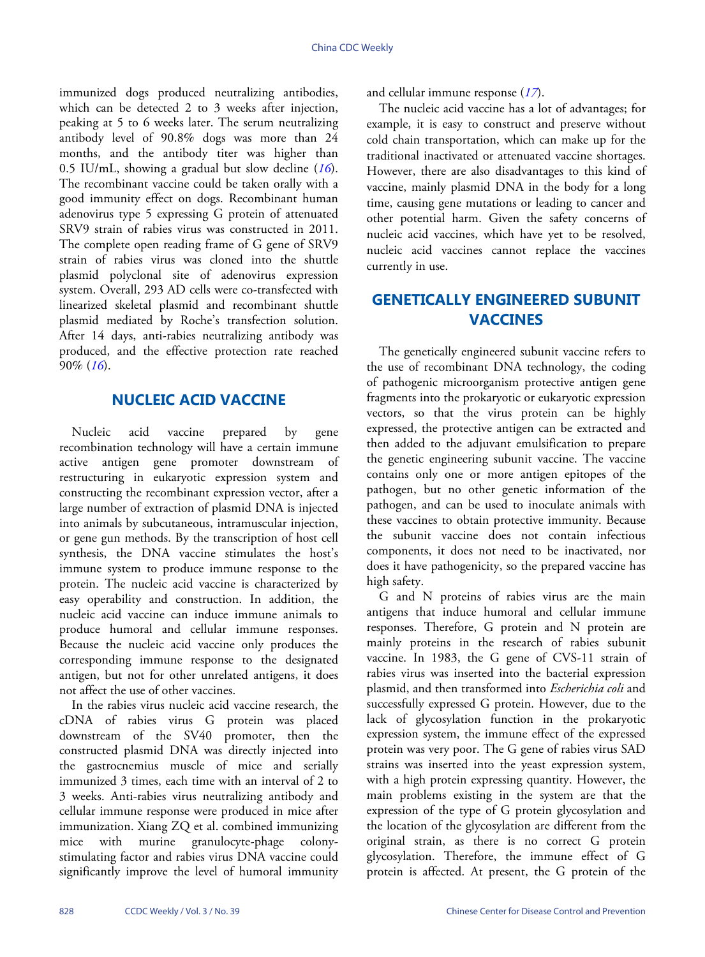immunized dogs produced neutralizing antibodies, which can be detected 2 to 3 weeks after injection, peaking at 5 to 6 weeks later. The serum neutralizing antibody level of 90.8% dogs was more than 24 months, and the antibody titer was higher than 0.5 IU/mL, showing a gradual but slow decline (*[16](#page-5-14)*). The recombinant vaccine could be taken orally with a good immunity effect on dogs. Recombinant human adenovirus type 5 expressing G protein of attenuated SRV9 strain of rabies virus was constructed in 2011. The complete open reading frame of G gene of SRV9 strain of rabies virus was cloned into the shuttle plasmid polyclonal site of adenovirus expression system. Overall, 293 AD cells were co-transfected with linearized skeletal plasmid and recombinant shuttle plasmid mediated by Roche's transfection solution. After 14 days, anti-rabies neutralizing antibody was produced, and the effective protection rate reached 90% (*[16](#page-5-14)*).

#### **NUCLEIC ACID VACCINE**

Nucleic acid vaccine prepared by gene recombination technology will have a certain immune active antigen gene promoter downstream of restructuring in eukaryotic expression system and constructing the recombinant expression vector, after a large number of extraction of plasmid DNA is injected into animals by subcutaneous, intramuscular injection, or gene gun methods. By the transcription of host cell synthesis, the DNA vaccine stimulates the host's immune system to produce immune response to the protein. The nucleic acid vaccine is characterized by easy operability and construction. In addition, the nucleic acid vaccine can induce immune animals to produce humoral and cellular immune responses. Because the nucleic acid vaccine only produces the corresponding immune response to the designated antigen, but not for other unrelated antigens, it does not affect the use of other vaccines.

In the rabies virus nucleic acid vaccine research, the cDNA of rabies virus G protein was placed downstream of the SV40 promoter, then the constructed plasmid DNA was directly injected into the gastrocnemius muscle of mice and serially immunized 3 times, each time with an interval of 2 to 3 weeks. Anti-rabies virus neutralizing antibody and cellular immune response were produced in mice after immunization. Xiang ZQ et al. combined immunizing mice with murine granulocyte-phage colonystimulating factor and rabies virus DNA vaccine could significantly improve the level of humoral immunity

and cellular immune response (*[17](#page-5-15)*).

The nucleic acid vaccine has a lot of advantages; for example, it is easy to construct and preserve without cold chain transportation, which can make up for the traditional inactivated or attenuated vaccine shortages. However, there are also disadvantages to this kind of vaccine, mainly plasmid DNA in the body for a long time, causing gene mutations or leading to cancer and other potential harm. Given the safety concerns of nucleic acid vaccines, which have yet to be resolved, nucleic acid vaccines cannot replace the vaccines currently in use.

### **GENETICALLY ENGINEERED SUBUNIT VACCINES**

The genetically engineered subunit vaccine refers to the use of recombinant DNA technology, the coding of pathogenic microorganism protective antigen gene fragments into the prokaryotic or eukaryotic expression vectors, so that the virus protein can be highly expressed, the protective antigen can be extracted and then added to the adjuvant emulsification to prepare the genetic engineering subunit vaccine. The vaccine contains only one or more antigen epitopes of the pathogen, but no other genetic information of the pathogen, and can be used to inoculate animals with these vaccines to obtain protective immunity. Because the subunit vaccine does not contain infectious components, it does not need to be inactivated, nor does it have pathogenicity, so the prepared vaccine has high safety.

G and N proteins of rabies virus are the main antigens that induce humoral and cellular immune responses. Therefore, G protein and N protein are mainly proteins in the research of rabies subunit vaccine. In 1983, the G gene of CVS-11 strain of rabies virus was inserted into the bacterial expression plasmid, and then transformed into *Escherichia coli* and successfully expressed G protein. However, due to the lack of glycosylation function in the prokaryotic expression system, the immune effect of the expressed protein was very poor. The G gene of rabies virus SAD strains was inserted into the yeast expression system, with a high protein expressing quantity. However, the main problems existing in the system are that the expression of the type of G protein glycosylation and the location of the glycosylation are different from the original strain, as there is no correct G protein glycosylation. Therefore, the immune effect of G protein is affected. At present, the G protein of the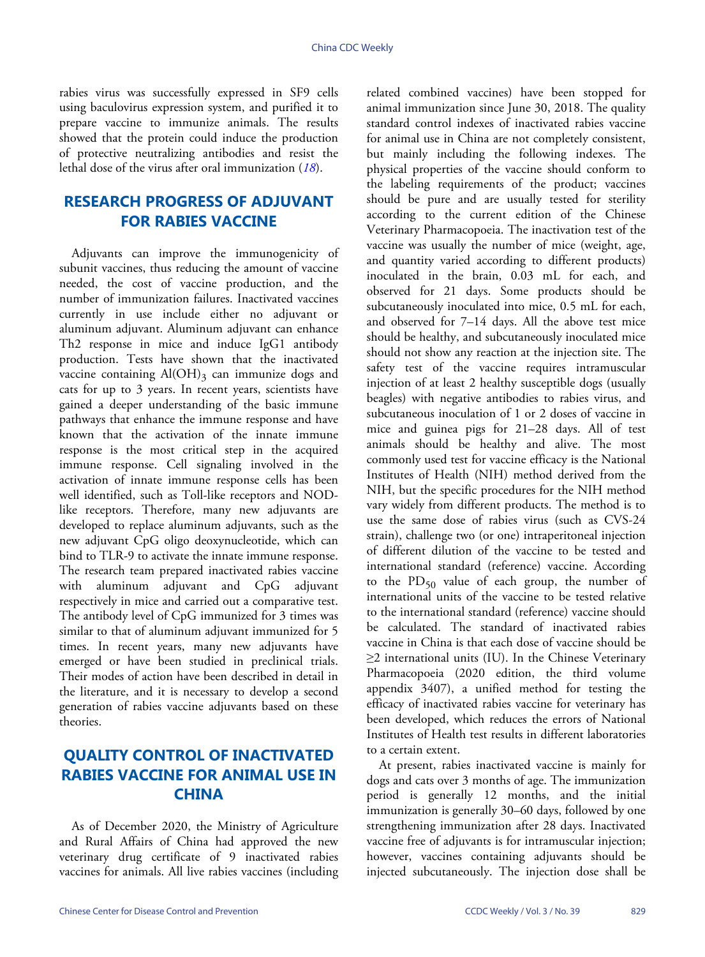rabies virus was successfully expressed in SF9 cells using baculovirus expression system, and purified it to prepare vaccine to immunize animals. The results showed that the protein could induce the production of protective neutralizing antibodies and resist the lethal dose of the virus after oral immunization (*[18](#page-5-16)*).

### **RESEARCH PROGRESS OF ADJUVANT FOR RABIES VACCINE**

Adjuvants can improve the immunogenicity of subunit vaccines, thus reducing the amount of vaccine needed, the cost of vaccine production, and the number of immunization failures. Inactivated vaccines currently in use include either no adjuvant or aluminum adjuvant. Aluminum adjuvant can enhance Th2 response in mice and induce IgG1 antibody production. Tests have shown that the inactivated vaccine containing  $\text{Al}(\text{OH})_3$  can immunize dogs and cats for up to 3 years. In recent years, scientists have gained a deeper understanding of the basic immune pathways that enhance the immune response and have known that the activation of the innate immune response is the most critical step in the acquired immune response. Cell signaling involved in the activation of innate immune response cells has been well identified, such as Toll-like receptors and NODlike receptors. Therefore, many new adjuvants are developed to replace aluminum adjuvants, such as the new adjuvant CpG oligo deoxynucleotide, which can bind to TLR-9 to activate the innate immune response. The research team prepared inactivated rabies vaccine with aluminum adjuvant and CpG adjuvant respectively in mice and carried out a comparative test. The antibody level of CpG immunized for 3 times was similar to that of aluminum adjuvant immunized for 5 times. In recent years, many new adjuvants have emerged or have been studied in preclinical trials. Their modes of action have been described in detail in the literature, and it is necessary to develop a second generation of rabies vaccine adjuvants based on these theories.

### **QUALITY CONTROL OF INACTIVATED RABIES VACCINE FOR ANIMAL USE IN CHINA**

As of December 2020, the Ministry of Agriculture and Rural Affairs of China had approved the new veterinary drug certificate of 9 inactivated rabies vaccines for animals. All live rabies vaccines (including related combined vaccines) have been stopped for animal immunization since June 30, 2018. The quality standard control indexes of inactivated rabies vaccine for animal use in China are not completely consistent, but mainly including the following indexes. The physical properties of the vaccine should conform to the labeling requirements of the product; vaccines should be pure and are usually tested for sterility according to the current edition of the Chinese Veterinary Pharmacopoeia. The inactivation test of the vaccine was usually the number of mice (weight, age, and quantity varied according to different products) inoculated in the brain, 0.03 mL for each, and observed for 21 days. Some products should be subcutaneously inoculated into mice, 0.5 mL for each, and observed for 7–14 days. All the above test mice should be healthy, and subcutaneously inoculated mice should not show any reaction at the injection site. The safety test of the vaccine requires intramuscular injection of at least 2 healthy susceptible dogs (usually beagles) with negative antibodies to rabies virus, and subcutaneous inoculation of 1 or 2 doses of vaccine in mice and guinea pigs for 21–28 days. All of test animals should be healthy and alive. The most commonly used test for vaccine efficacy is the National Institutes of Health (NIH) method derived from the NIH, but the specific procedures for the NIH method vary widely from different products. The method is to use the same dose of rabies virus (such as CVS-24 strain), challenge two (or one) intraperitoneal injection of different dilution of the vaccine to be tested and international standard (reference) vaccine. According to the  $PD_{50}$  value of each group, the number of international units of the vaccine to be tested relative to the international standard (reference) vaccine should be calculated. The standard of inactivated rabies vaccine in China is that each dose of vaccine should be ≥2 international units (IU). In the Chinese Veterinary Pharmacopoeia (2020 edition, the third volume appendix 3407), a unified method for testing the efficacy of inactivated rabies vaccine for veterinary has been developed, which reduces the errors of National Institutes of Health test results in different laboratories to a certain extent.

At present, rabies inactivated vaccine is mainly for dogs and cats over 3 months of age. The immunization period is generally 12 months, and the initial immunization is generally 30–60 days, followed by one strengthening immunization after 28 days. Inactivated vaccine free of adjuvants is for intramuscular injection; however, vaccines containing adjuvants should be injected subcutaneously. The injection dose shall be